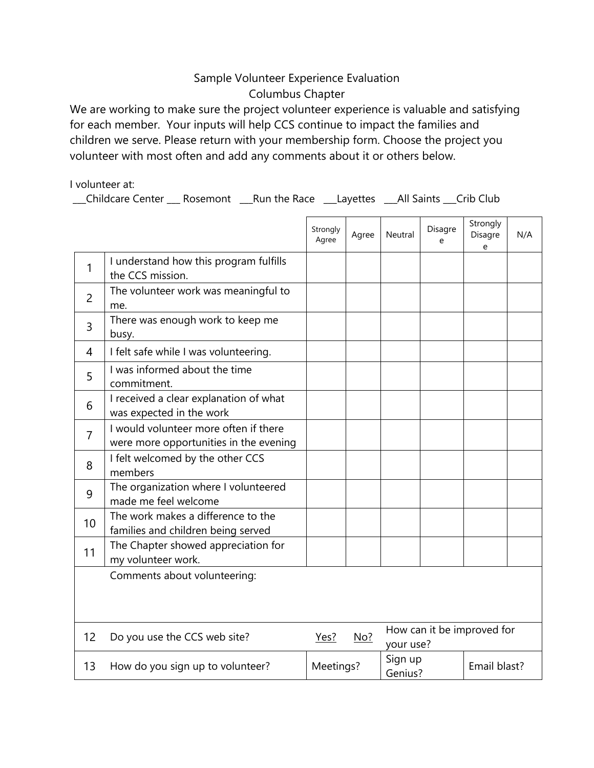## Sample Volunteer Experience Evaluation Columbus Chapter

We are working to make sure the project volunteer experience is valuable and satisfying for each member. Your inputs will help CCS continue to impact the families and children we serve. Please return with your membership form. Choose the project you volunteer with most often and add any comments about it or others below.

I volunteer at:

\_\_\_Childcare Center \_\_\_ Rosemont \_\_\_Run the Race \_\_\_Layettes \_\_\_All Saints \_\_\_Crib Club

|                |                                                                                 | Strongly<br>Agree | Agree | Neutral                                 | Disagre<br>e | Strongly<br>Disagre<br>e | N/A |
|----------------|---------------------------------------------------------------------------------|-------------------|-------|-----------------------------------------|--------------|--------------------------|-----|
| 1              | I understand how this program fulfills<br>the CCS mission.                      |                   |       |                                         |              |                          |     |
| $\overline{2}$ | The volunteer work was meaningful to<br>me.                                     |                   |       |                                         |              |                          |     |
| 3              | There was enough work to keep me<br>busy.                                       |                   |       |                                         |              |                          |     |
| 4              | I felt safe while I was volunteering.                                           |                   |       |                                         |              |                          |     |
| 5              | I was informed about the time<br>commitment.                                    |                   |       |                                         |              |                          |     |
| 6              | I received a clear explanation of what<br>was expected in the work              |                   |       |                                         |              |                          |     |
| $\overline{7}$ | I would volunteer more often if there<br>were more opportunities in the evening |                   |       |                                         |              |                          |     |
| 8              | I felt welcomed by the other CCS<br>members                                     |                   |       |                                         |              |                          |     |
| 9              | The organization where I volunteered<br>made me feel welcome                    |                   |       |                                         |              |                          |     |
| 10             | The work makes a difference to the<br>families and children being served        |                   |       |                                         |              |                          |     |
| 11             | The Chapter showed appreciation for<br>my volunteer work.                       |                   |       |                                         |              |                          |     |
|                | Comments about volunteering:                                                    |                   |       |                                         |              |                          |     |
| 12             | Do you use the CCS web site?                                                    | Yes?              | No?   | How can it be improved for<br>your use? |              |                          |     |
| 13             | How do you sign up to volunteer?                                                | Meetings?         |       | Sign up<br>Genius?                      |              | Email blast?             |     |